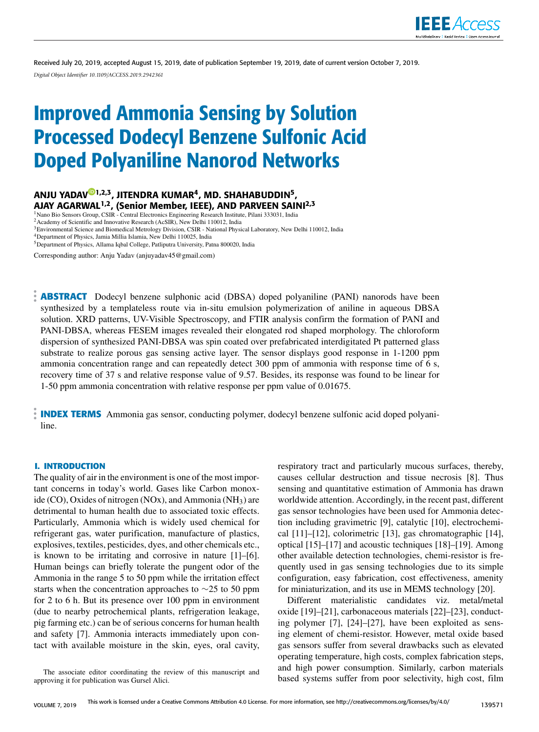

Received July 20, 2019, accepted August 15, 2019, date of publication September 19, 2019, date of current version October 7, 2019. *Digital Object Identifier 10.1109/ACCESS.2019.2942361*

# Improved Ammonia Sensing by Solution Processed Dodecyl Benzene Sulfonic Acid Doped Polyaniline Nanorod Networks

# ANJU YADAV<sup>@1,2,3</sup>, JITENDRA KUMAR<sup>4</sup>, MD. SHAHABUDDIN<sup>5</sup>, AJAY AGARWAL<sup>1,2</sup>, (Senior Member, IEEE), AND PARVEEN SAINI<sup>2,3</sup>

<sup>1</sup> Nano Bio Sensors Group, CSIR - Central Electronics Engineering Research Institute, Pilani 333031, India

<sup>2</sup> Academy of Scientific and Innovative Research (AcSIR), New Delhi 110012, India

<sup>3</sup> Environmental Science and Biomedical Metrology Division, CSIR - National Physical Laboratory, New Delhi 110012, India <sup>4</sup>Department of Physics, Jamia Millia Islamia, New Delhi 110025, India

<sup>5</sup>Department of Physics, Allama Iqbal College, Patliputra University, Patna 800020, India

Corresponding author: Anju Yadav (anjuyadav45@gmail.com)

**ABSTRACT** Dodecyl benzene sulphonic acid (DBSA) doped polyaniline (PANI) nanorods have been synthesized by a templateless route via in-situ emulsion polymerization of aniline in aqueous DBSA solution. XRD patterns, UV-Visible Spectroscopy, and FTIR analysis confirm the formation of PANI and PANI-DBSA, whereas FESEM images revealed their elongated rod shaped morphology. The chloroform dispersion of synthesized PANI-DBSA was spin coated over prefabricated interdigitated Pt patterned glass substrate to realize porous gas sensing active layer. The sensor displays good response in 1-1200 ppm ammonia concentration range and can repeatedly detect 300 ppm of ammonia with response time of 6 s, recovery time of 37 s and relative response value of 9.57. Besides, its response was found to be linear for 1-50 ppm ammonia concentration with relative response per ppm value of 0.01675.

**INDEX TERMS** Ammonia gas sensor, conducting polymer, dodecyl benzene sulfonic acid doped polyaniline.

#### **I. INTRODUCTION**

The quality of air in the environment is one of the most important concerns in today's world. Gases like Carbon monoxide (CO), Oxides of nitrogen (NOx), and Ammonia (NH<sub>3</sub>) are detrimental to human health due to associated toxic effects. Particularly, Ammonia which is widely used chemical for refrigerant gas, water purification, manufacture of plastics, explosives, textiles, pesticides, dyes, and other chemicals etc., is known to be irritating and corrosive in nature [1]–[6]. Human beings can briefly tolerate the pungent odor of the Ammonia in the range 5 to 50 ppm while the irritation effect starts when the concentration approaches to ∼25 to 50 ppm for 2 to 6 h. But its presence over 100 ppm in environment (due to nearby petrochemical plants, refrigeration leakage, pig farming etc.) can be of serious concerns for human health and safety [7]. Ammonia interacts immediately upon contact with available moisture in the skin, eyes, oral cavity, respiratory tract and particularly mucous surfaces, thereby, causes cellular destruction and tissue necrosis [8]. Thus sensing and quantitative estimation of Ammonia has drawn worldwide attention. Accordingly, in the recent past, different gas sensor technologies have been used for Ammonia detection including gravimetric [9], catalytic [10], electrochemical [11]–[12], colorimetric [13], gas chromatographic [14], optical [15]–[17] and acoustic techniques [18]–[19]. Among other available detection technologies, chemi-resistor is frequently used in gas sensing technologies due to its simple configuration, easy fabrication, cost effectiveness, amenity for miniaturization, and its use in MEMS technology [20].

Different materialistic candidates viz. metal/metal oxide [19]–[21], carbonaceous materials [22]–[23], conducting polymer [7], [24]–[27], have been exploited as sensing element of chemi-resistor. However, metal oxide based gas sensors suffer from several drawbacks such as elevated operating temperature, high costs, complex fabrication steps, and high power consumption. Similarly, carbon materials based systems suffer from poor selectivity, high cost, film

The associate editor coordinating the review of this manuscript and approving it for publication was Gursel Alici.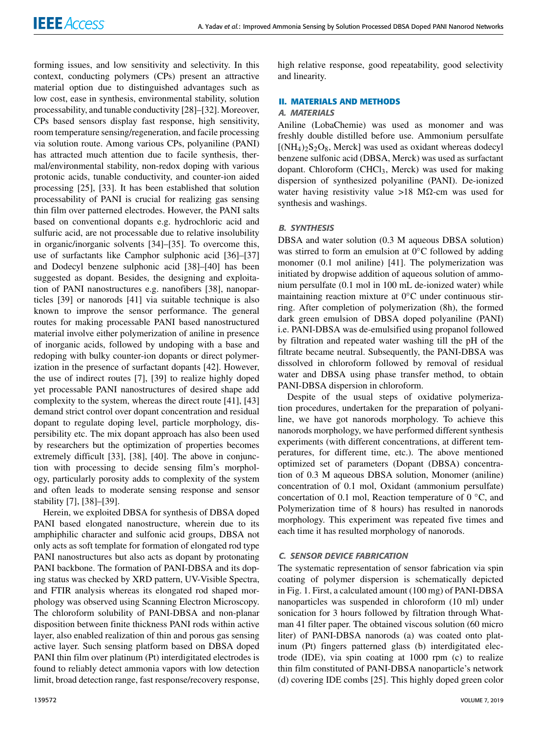forming issues, and low sensitivity and selectivity. In this context, conducting polymers (CPs) present an attractive material option due to distinguished advantages such as low cost, ease in synthesis, environmental stability, solution processability, and tunable conductivity [28]–[32]. Moreover, CPs based sensors display fast response, high sensitivity, room temperature sensing/regeneration, and facile processing via solution route. Among various CPs, polyaniline (PANI) has attracted much attention due to facile synthesis, thermal/environmental stability, non-redox doping with various protonic acids, tunable conductivity, and counter-ion aided processing [25], [33]. It has been established that solution processability of PANI is crucial for realizing gas sensing thin film over patterned electrodes. However, the PANI salts based on conventional dopants e.g. hydrochloric acid and sulfuric acid, are not processable due to relative insolubility in organic/inorganic solvents [34]–[35]. To overcome this, use of surfactants like Camphor sulphonic acid [36]–[37] and Dodecyl benzene sulphonic acid [38]–[40] has been suggested as dopant. Besides, the designing and exploitation of PANI nanostructures e.g. nanofibers [38], nanoparticles [39] or nanorods [41] via suitable technique is also known to improve the sensor performance. The general routes for making processable PANI based nanostructured material involve either polymerization of aniline in presence of inorganic acids, followed by undoping with a base and redoping with bulky counter-ion dopants or direct polymerization in the presence of surfactant dopants [42]. However, the use of indirect routes [7], [39] to realize highly doped yet processable PANI nanostructures of desired shape add complexity to the system, whereas the direct route [41], [43] demand strict control over dopant concentration and residual dopant to regulate doping level, particle morphology, dispersibility etc. The mix dopant approach has also been used by researchers but the optimization of properties becomes extremely difficult [33], [38], [40]. The above in conjunction with processing to decide sensing film's morphology, particularly porosity adds to complexity of the system and often leads to moderate sensing response and sensor stability [7], [38]–[39].

Herein, we exploited DBSA for synthesis of DBSA doped PANI based elongated nanostructure, wherein due to its amphiphilic character and sulfonic acid groups, DBSA not only acts as soft template for formation of elongated rod type PANI nanostructures but also acts as dopant by protonating PANI backbone. The formation of PANI-DBSA and its doping status was checked by XRD pattern, UV-Visible Spectra, and FTIR analysis whereas its elongated rod shaped morphology was observed using Scanning Electron Microscopy. The chloroform solubility of PANI-DBSA and non-planar disposition between finite thickness PANI rods within active layer, also enabled realization of thin and porous gas sensing active layer. Such sensing platform based on DBSA doped PANI thin film over platinum (Pt) interdigitated electrodes is found to reliably detect ammonia vapors with low detection limit, broad detection range, fast response/recovery response, high relative response, good repeatability, good selectivity and linearity.

## **II. MATERIALS AND METHODS**

### A. MATERIALS

Aniline (LobaChemie) was used as monomer and was freshly double distilled before use. Ammonium persulfate  $[(NH<sub>4</sub>)<sub>2</sub>S<sub>2</sub>O<sub>8</sub>$ , Merck] was used as oxidant whereas dodecyl benzene sulfonic acid (DBSA, Merck) was used as surfactant dopant. Chloroform (CHCl<sub>3</sub>, Merck) was used for making dispersion of synthesized polyaniline (PANI). De-ionized water having resistivity value >18 M $\Omega$ -cm was used for synthesis and washings.

#### B. SYNTHESIS

DBSA and water solution (0.3 M aqueous DBSA solution) was stirred to form an emulsion at  $0^{\circ}$ C followed by adding monomer (0.1 mol aniline) [41]. The polymerization was initiated by dropwise addition of aqueous solution of ammonium persulfate (0.1 mol in 100 mL de-ionized water) while maintaining reaction mixture at 0◦C under continuous stirring. After completion of polymerization (8h), the formed dark green emulsion of DBSA doped polyaniline (PANI) i.e. PANI-DBSA was de-emulsified using propanol followed by filtration and repeated water washing till the pH of the filtrate became neutral. Subsequently, the PANI-DBSA was dissolved in chloroform followed by removal of residual water and DBSA using phase transfer method, to obtain PANI-DBSA dispersion in chloroform.

Despite of the usual steps of oxidative polymerization procedures, undertaken for the preparation of polyaniline, we have got nanorods morphology. To achieve this nanorods morphology, we have performed different synthesis experiments (with different concentrations, at different temperatures, for different time, etc.). The above mentioned optimized set of parameters (Dopant (DBSA) concentration of 0.3 M aqueous DBSA solution, Monomer (aniline) concentration of 0.1 mol, Oxidant (ammonium persulfate) concertation of 0.1 mol, Reaction temperature of  $0 °C$ , and Polymerization time of 8 hours) has resulted in nanorods morphology. This experiment was repeated five times and each time it has resulted morphology of nanorods.

#### C. SENSOR DEVICE FABRICATION

The systematic representation of sensor fabrication via spin coating of polymer dispersion is schematically depicted in Fig. 1. First, a calculated amount (100 mg) of PANI-DBSA nanoparticles was suspended in chloroform (10 ml) under sonication for 3 hours followed by filtration through Whatman 41 filter paper. The obtained viscous solution (60 micro liter) of PANI-DBSA nanorods (a) was coated onto platinum (Pt) fingers patterned glass (b) interdigitated electrode (IDE), via spin coating at 1000 rpm (c) to realize thin film constituted of PANI-DBSA nanoparticle's network (d) covering IDE combs [25]. This highly doped green color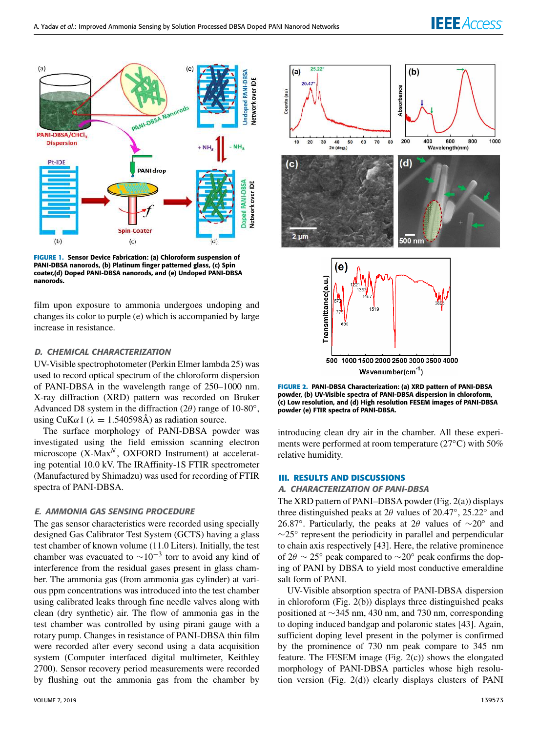# **IEEE** Access



**FIGURE 1.** Sensor Device Fabrication: (a) Chloroform suspension of PANI-DBSA nanorods, (b) Platinum finger patterned glass, (c) Spin coater,(d) Doped PANI-DBSA nanorods, and (e) Undoped PANI-DBSA nanorods.

film upon exposure to ammonia undergoes undoping and changes its color to purple (e) which is accompanied by large increase in resistance.

# D. CHEMICAL CHARACTERIZATION

UV-Visible spectrophotometer (Perkin Elmer lambda 25) was used to record optical spectrum of the chloroform dispersion of PANI-DBSA in the wavelength range of 250–1000 nm. X-ray diffraction (XRD) pattern was recorded on Bruker Advanced D8 system in the diffraction  $(2\theta)$  range of 10-80°, using CuK $\alpha$ 1 ( $\lambda = 1.540598$ Å) as radiation source.

The surface morphology of PANI-DBSA powder was investigated using the field emission scanning electron microscope (X-Max*<sup>N</sup>* , OXFORD Instrument) at accelerating potential 10.0 kV. The IRAffinity-1S FTIR spectrometer (Manufactured by Shimadzu) was used for recording of FTIR spectra of PANI-DBSA.

#### E. AMMONIA GAS SENSING PROCEDURE

The gas sensor characteristics were recorded using specially designed Gas Calibrator Test System (GCTS) having a glass test chamber of known volume (11.0 Liters). Initially, the test chamber was evacuated to  $\sim 10^{-3}$  torr to avoid any kind of interference from the residual gases present in glass chamber. The ammonia gas (from ammonia gas cylinder) at various ppm concentrations was introduced into the test chamber using calibrated leaks through fine needle valves along with clean (dry synthetic) air. The flow of ammonia gas in the test chamber was controlled by using pirani gauge with a rotary pump. Changes in resistance of PANI-DBSA thin film were recorded after every second using a data acquisition system (Computer interfaced digital multimeter, Keithley 2700). Sensor recovery period measurements were recorded by flushing out the ammonia gas from the chamber by



**FIGURE 2.** PANI-DBSA Characterization: (a) XRD pattern of PANI-DBSA powder, (b) UV-Visible spectra of PANI-DBSA dispersion in chloroform, (c) Low resolution, and (d) High resolution FESEM images of PANI-DBSA powder (e) FTIR spectra of PANI-DBSA.

introducing clean dry air in the chamber. All these experiments were performed at room temperature (27◦C) with 50% relative humidity.

### **III. RESULTS AND DISCUSSIONS**

#### A. CHARACTERIZATION OF PANI-DBSA

The XRD pattern of PANI–DBSA powder (Fig. 2(a)) displays three distinguished peaks at  $2\theta$  values of  $20.47^\circ$ ,  $25.22^\circ$  and 26.87°. Particularly, the peaks at 2 $\theta$  values of  $\sim$ 20° and ∼25◦ represent the periodicity in parallel and perpendicular to chain axis respectively [43]. Here, the relative prominence of 2 $\theta \sim 25^\circ$  peak compared to  $\sim 20^\circ$  peak confirms the doping of PANI by DBSA to yield most conductive emeraldine salt form of PANI.

UV-Visible absorption spectra of PANI-DBSA dispersion in chloroform (Fig. 2(b)) displays three distinguished peaks positioned at ∼345 nm, 430 nm, and 730 nm, corresponding to doping induced bandgap and polaronic states [43]. Again, sufficient doping level present in the polymer is confirmed by the prominence of 730 nm peak compare to 345 nm feature. The FESEM image (Fig. 2(c)) shows the elongated morphology of PANI-DBSA particles whose high resolution version (Fig. 2(d)) clearly displays clusters of PANI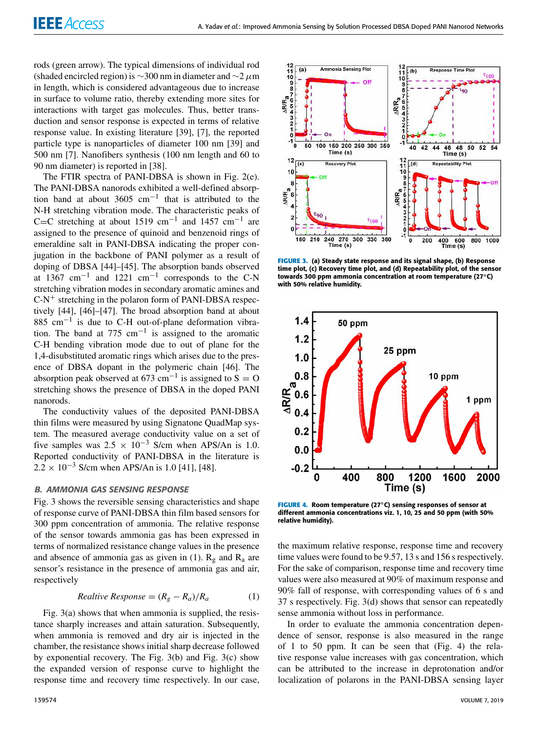rods (green arrow). The typical dimensions of individual rod (shaded encircled region) is  $\sim$ 300 nm in diameter and  $\sim$ 2 µm in length, which is considered advantageous due to increase in surface to volume ratio, thereby extending more sites for interactions with target gas molecules. Thus, better transduction and sensor response is expected in terms of relative response value. In existing literature [39], [7], the reported particle type is nanoparticles of diameter 100 nm [39] and 500 nm [7]. Nanofibers synthesis (100 nm length and 60 to 90 nm diameter) is reported in [38].

The FTIR spectra of PANI-DBSA is shown in Fig. 2(e). The PANI-DBSA nanorods exhibited a well-defined absorption band at about  $3605 \text{ cm}^{-1}$  that is attributed to the N-H stretching vibration mode. The characteristic peaks of C=C stretching at about 1519 cm<sup>-1</sup> and 1457 cm<sup>-1</sup> are assigned to the presence of quinoid and benzenoid rings of emeraldine salt in PANI-DBSA indicating the proper conjugation in the backbone of PANI polymer as a result of doping of DBSA [44]–[45]. The absorption bands observed at  $1367 \text{ cm}^{-1}$  and  $1221 \text{ cm}^{-1}$  corresponds to the C-N stretching vibration modes in secondary aromatic amines and  $C-N^+$  stretching in the polaron form of PANI-DBSA respectively [44], [46]–[47]. The broad absorption band at about 885 cm−<sup>1</sup> is due to C-H out-of-plane deformation vibration. The band at 775  $cm^{-1}$  is assigned to the aromatic C-H bending vibration mode due to out of plane for the 1,4-disubstituted aromatic rings which arises due to the presence of DBSA dopant in the polymeric chain [46]. The absorption peak observed at 673 cm<sup>-1</sup> is assigned to S = O stretching shows the presence of DBSA in the doped PANI nanorods.

The conductivity values of the deposited PANI-DBSA thin films were measured by using Signatone QuadMap system. The measured average conductivity value on a set of five samples was  $2.5 \times 10^{-3}$  S/cm when APS/An is 1.0. Reported conductivity of PANI-DBSA in the literature is  $2.2 \times 10^{-3}$  S/cm when APS/An is 1.0 [41], [48].

#### B. AMMONIA GAS SENSING RESPONSE

Fig. 3 shows the reversible sensing characteristics and shape of response curve of PANI-DBSA thin film based sensors for 300 ppm concentration of ammonia. The relative response of the sensor towards ammonia gas has been expressed in terms of normalized resistance change values in the presence and absence of ammonia gas as given in (1).  $R_g$  and  $R_a$  are sensor's resistance in the presence of ammonia gas and air, respectively

*Relative Response* = 
$$
(R_g - R_a)/R_a
$$
 (1)

Fig. 3(a) shows that when ammonia is supplied, the resistance sharply increases and attain saturation. Subsequently, when ammonia is removed and dry air is injected in the chamber, the resistance shows initial sharp decrease followed by exponential recovery. The Fig. 3(b) and Fig. 3(c) show the expanded version of response curve to highlight the response time and recovery time respectively. In our case,



**FIGURE 3.** (a) Steady state response and its signal shape, (b) Response time plot, (c) Recovery time plot, and (d) Repeatability plot, of the sensor towards 300 ppm ammonia concentration at room temperature (27◦C) with 50% relative humidity.



**FIGURE 4.** Room temperature (27◦C) sensing responses of sensor at different ammonia concentrations viz. 1, 10, 25 and 50 ppm (with 50% relative humidity).

the maximum relative response, response time and recovery time values were found to be 9.57, 13 s and 156 s respectively. For the sake of comparison, response time and recovery time values were also measured at 90% of maximum response and 90% fall of response, with corresponding values of 6 s and 37 s respectively. Fig. 3(d) shows that sensor can repeatedly sense ammonia without loss in performance.

In order to evaluate the ammonia concentration dependence of sensor, response is also measured in the range of 1 to 50 ppm. It can be seen that (Fig. 4) the relative response value increases with gas concentration, which can be attributed to the increase in deprotonation and/or localization of polarons in the PANI-DBSA sensing layer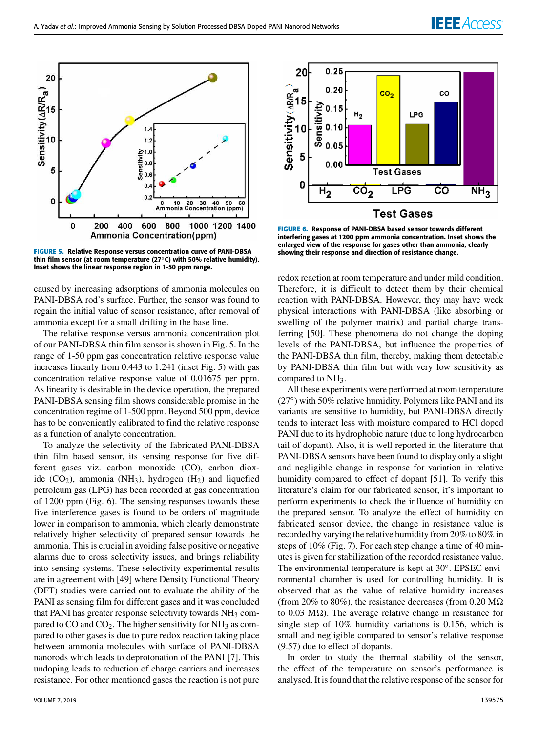

**FIGURE 5.** Relative Response versus concentration curve of PANI-DBSA thin film sensor (at room temperature (27◦C) with 50% relative humidity). Inset shows the linear response region in 1-50 ppm range.

caused by increasing adsorptions of ammonia molecules on PANI-DBSA rod's surface. Further, the sensor was found to regain the initial value of sensor resistance, after removal of ammonia except for a small drifting in the base line.

The relative response versus ammonia concentration plot of our PANI-DBSA thin film sensor is shown in Fig. 5. In the range of 1-50 ppm gas concentration relative response value increases linearly from 0.443 to 1.241 (inset Fig. 5) with gas concentration relative response value of 0.01675 per ppm. As linearity is desirable in the device operation, the prepared PANI-DBSA sensing film shows considerable promise in the concentration regime of 1-500 ppm. Beyond 500 ppm, device has to be conveniently calibrated to find the relative response as a function of analyte concentration.

To analyze the selectivity of the fabricated PANI-DBSA thin film based sensor, its sensing response for five different gases viz. carbon monoxide (CO), carbon dioxide  $(CO_2)$ , ammonia (NH<sub>3</sub>), hydrogen  $(H_2)$  and liquefied petroleum gas (LPG) has been recorded at gas concentration of 1200 ppm (Fig. 6). The sensing responses towards these five interference gases is found to be orders of magnitude lower in comparison to ammonia, which clearly demonstrate relatively higher selectivity of prepared sensor towards the ammonia. This is crucial in avoiding false positive or negative alarms due to cross selectivity issues, and brings reliability into sensing systems. These selectivity experimental results are in agreement with [49] where Density Functional Theory (DFT) studies were carried out to evaluate the ability of the PANI as sensing film for different gases and it was concluded that PANI has greater response selectivity towards  $NH<sub>3</sub>$  compared to  $CO$  and  $CO<sub>2</sub>$ . The higher sensitivity for NH<sub>3</sub> as compared to other gases is due to pure redox reaction taking place between ammonia molecules with surface of PANI-DBSA nanorods which leads to deprotonation of the PANI [7]. This undoping leads to reduction of charge carriers and increases resistance. For other mentioned gases the reaction is not pure



20

 $0.25$ 

**FIGURE 6.** Response of PANI-DBSA based sensor towards different interfering gases at 1200 ppm ammonia concentration. Inset shows the enlarged view of the response for gases other than ammonia, clearly showing their response and direction of resistance change.

redox reaction at room temperature and under mild condition. Therefore, it is difficult to detect them by their chemical reaction with PANI-DBSA. However, they may have week physical interactions with PANI-DBSA (like absorbing or swelling of the polymer matrix) and partial charge transferring [50]. These phenomena do not change the doping levels of the PANI-DBSA, but influence the properties of the PANI-DBSA thin film, thereby, making them detectable by PANI-DBSA thin film but with very low sensitivity as compared to NH<sub>3</sub>.

All these experiments were performed at room temperature (27°) with 50% relative humidity. Polymers like PANI and its variants are sensitive to humidity, but PANI-DBSA directly tends to interact less with moisture compared to HCl doped PANI due to its hydrophobic nature (due to long hydrocarbon tail of dopant). Also, it is well reported in the literature that PANI-DBSA sensors have been found to display only a slight and negligible change in response for variation in relative humidity compared to effect of dopant [51]. To verify this literature's claim for our fabricated sensor, it's important to perform experiments to check the influence of humidity on the prepared sensor. To analyze the effect of humidity on fabricated sensor device, the change in resistance value is recorded by varying the relative humidity from 20% to 80% in steps of 10% (Fig. 7). For each step change a time of 40 minutes is given for stabilization of the recorded resistance value. The environmental temperature is kept at 30◦ . EPSEC environmental chamber is used for controlling humidity. It is observed that as the value of relative humidity increases (from 20% to 80%), the resistance decreases (from 0.20  $\text{M}\Omega$ ) to 0.03 M $\Omega$ ). The average relative change in resistance for single step of 10% humidity variations is 0.156, which is small and negligible compared to sensor's relative response (9.57) due to effect of dopants.

In order to study the thermal stability of the sensor, the effect of the temperature on sensor's performance is analysed. It is found that the relative response of the sensor for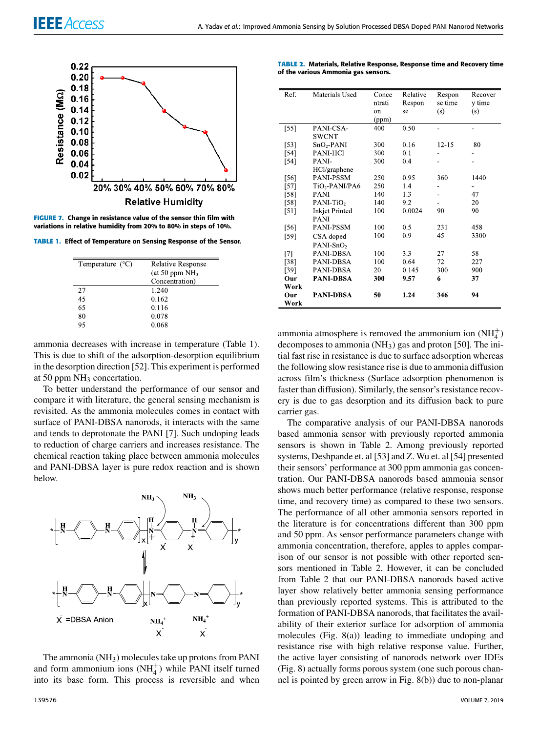

**FIGURE 7.** Change in resistance value of the sensor thin film with variations in relative humidity from 20% to 80% in steps of 10%.

**TABLE 1.** Effect of Temperature on Sensing Response of the Sensor.

| Temperature $(^{\circ}C)$ | <b>Relative Response</b> |
|---------------------------|--------------------------|
|                           | (at 50 ppm $NH3$         |
|                           | Concentration)           |
| 27                        | 1.240                    |
| 45                        | 0.162                    |
| 65                        | 0.116                    |
| 80                        | 0.078                    |
| 95                        | 0.068                    |
|                           |                          |

ammonia decreases with increase in temperature (Table 1). This is due to shift of the adsorption-desorption equilibrium in the desorption direction [52]. This experiment is performed at 50 ppm  $NH_3$  concertation.

To better understand the performance of our sensor and compare it with literature, the general sensing mechanism is revisited. As the ammonia molecules comes in contact with surface of PANI-DBSA nanorods, it interacts with the same and tends to deprotonate the PANI [7]. Such undoping leads to reduction of charge carriers and increases resistance. The chemical reaction taking place between ammonia molecules and PANI-DBSA layer is pure redox reaction and is shown below.



The ammonia  $(NH_3)$  molecules take up protons from PANI and form ammonium ions  $(NH_4^+)$  while PANI itself turned into its base form. This process is reversible and when

| <b>TABLE 2. Materials, Relative Response, Response time and Recovery time</b> |  |
|-------------------------------------------------------------------------------|--|
| of the various Ammonia gas sensors.                                           |  |

|                            | Conce                                                                                                                               |                        | Respon                                           | Recover                |
|----------------------------|-------------------------------------------------------------------------------------------------------------------------------------|------------------------|--------------------------------------------------|------------------------|
|                            | ntrati                                                                                                                              | Respon                 | se time                                          | y time                 |
|                            | on                                                                                                                                  | se                     | (s)                                              | (s)                    |
|                            | (ppm)                                                                                                                               |                        |                                                  |                        |
| PANI-CSA-                  | 400                                                                                                                                 | 0.50                   |                                                  | ۰                      |
| <b>SWCNT</b>               |                                                                                                                                     |                        |                                                  |                        |
| $SnO2-PANI$                | 300                                                                                                                                 | 0.16                   | $12 - 15$                                        | 80                     |
| PANI-HCl                   | 300                                                                                                                                 | 0.1                    |                                                  |                        |
| PANI-                      | 300                                                                                                                                 | 0.4                    |                                                  |                        |
| HCl/graphene               |                                                                                                                                     |                        |                                                  |                        |
| PANI-PSSM                  | 250                                                                                                                                 | 0.95                   | 360                                              | 1440                   |
| TiO <sub>2</sub> -PANI/PA6 | 250                                                                                                                                 | 1.4                    |                                                  |                        |
| <b>PANI</b>                | 140                                                                                                                                 | 1.3                    |                                                  | 47                     |
| $PANI-TiO2$                | 140                                                                                                                                 | 9.2                    |                                                  | 20                     |
| <b>Inkjet Printed</b>      | 100                                                                                                                                 | 0.0024                 | 90                                               | 90                     |
| <b>PANI</b>                |                                                                                                                                     |                        |                                                  |                        |
| <b>PANI-PSSM</b>           | 100                                                                                                                                 | 0.5                    | 231                                              | 458                    |
|                            | 100                                                                                                                                 | 0.9                    | 45                                               | 3300                   |
|                            |                                                                                                                                     |                        |                                                  |                        |
|                            | 100                                                                                                                                 |                        |                                                  | 58                     |
|                            |                                                                                                                                     |                        |                                                  | 227                    |
|                            |                                                                                                                                     |                        |                                                  | 900                    |
|                            |                                                                                                                                     |                        | 6                                                | 37                     |
|                            |                                                                                                                                     |                        |                                                  |                        |
|                            |                                                                                                                                     |                        |                                                  | 94                     |
|                            |                                                                                                                                     |                        |                                                  |                        |
|                            | Materials Used<br>CSA doped<br>PANI-SnO <sub>2</sub><br>PANI-DBSA<br>PANI-DBSA<br>PANI-DBSA<br><b>PANI-DBSA</b><br><b>PANI-DBSA</b> | 100<br>20<br>300<br>50 | Relative<br>3.3<br>0.64<br>0.145<br>9.57<br>1.24 | 27<br>72<br>300<br>346 |

ammonia atmosphere is removed the ammonium ion  $(NH_4^+)$ decomposes to ammonia (NH3) gas and proton [50]. The initial fast rise in resistance is due to surface adsorption whereas the following slow resistance rise is due to ammonia diffusion across film's thickness (Surface adsorption phenomenon is faster than diffusion). Similarly, the sensor's resistance recovery is due to gas desorption and its diffusion back to pure carrier gas.

The comparative analysis of our PANI-DBSA nanorods based ammonia sensor with previously reported ammonia sensors is shown in Table 2. Among previously reported systems, Deshpande et. al [53] and Z. Wu et. al [54] presented their sensors' performance at 300 ppm ammonia gas concentration. Our PANI-DBSA nanorods based ammonia sensor shows much better performance (relative response, response time, and recovery time) as compared to these two sensors. The performance of all other ammonia sensors reported in the literature is for concentrations different than 300 ppm and 50 ppm. As sensor performance parameters change with ammonia concentration, therefore, apples to apples comparison of our sensor is not possible with other reported sensors mentioned in Table 2. However, it can be concluded from Table 2 that our PANI-DBSA nanorods based active layer show relatively better ammonia sensing performance than previously reported systems. This is attributed to the formation of PANI-DBSA nanorods, that facilitates the availability of their exterior surface for adsorption of ammonia molecules (Fig. 8(a)) leading to immediate undoping and resistance rise with high relative response value. Further, the active layer consisting of nanorods network over IDEs (Fig. 8) actually forms porous system (one such porous channel is pointed by green arrow in Fig. 8(b)) due to non-planar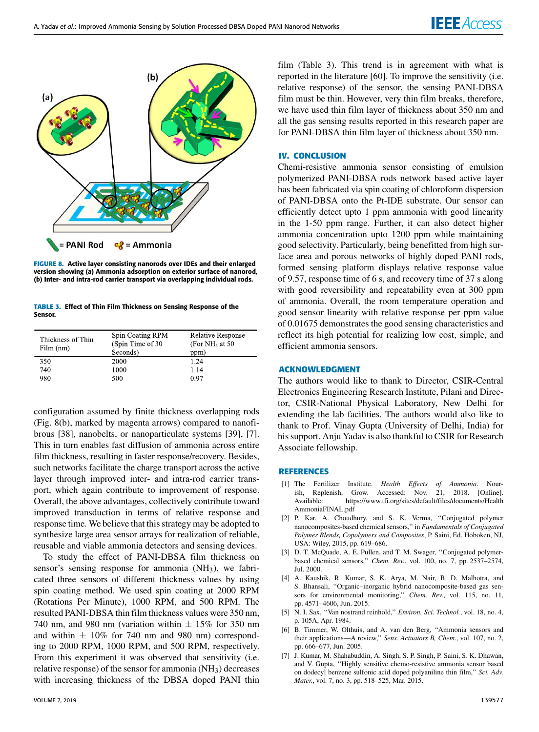

**FIGURE 8.** Active layer consisting nanorods over IDEs and their enlarged version showing (a) Ammonia adsorption on exterior surface of nanorod, (b) Inter- and intra-rod carrier transport via overlapping individual rods.

**TABLE 3.** Effect of Thin Film Thickness on Sensing Response of the Sensor.

| Thickness of Thin<br>Film (nm) | Spin Coating RPM<br>(Spin Time of 30)<br>Seconds) | <b>Relative Response</b><br>(For NH <sub>3</sub> at 50)<br>ppm) |
|--------------------------------|---------------------------------------------------|-----------------------------------------------------------------|
| 350                            | 2000                                              | 1.24                                                            |
| 740                            | 1000                                              | 1.14                                                            |
| 980                            | 500                                               | 0.97                                                            |

configuration assumed by finite thickness overlapping rods (Fig. 8(b), marked by magenta arrows) compared to nanofibrous [38], nanobelts, or nanoparticulate systems [39], [7]. This in turn enables fast diffusion of ammonia across entire film thickness, resulting in faster response/recovery. Besides, such networks facilitate the charge transport across the active layer through improved inter- and intra-rod carrier transport, which again contribute to improvement of response. Overall, the above advantages, collectively contribute toward improved transduction in terms of relative response and response time. We believe that this strategy may be adopted to synthesize large area sensor arrays for realization of reliable, reusable and viable ammonia detectors and sensing devices.

To study the effect of PANI-DBSA film thickness on sensor's sensing response for ammonia  $(NH<sub>3</sub>)$ , we fabricated three sensors of different thickness values by using spin coating method. We used spin coating at 2000 RPM (Rotations Per Minute), 1000 RPM, and 500 RPM. The resulted PANI-DBSA thin film thickness values were 350 nm, 740 nm, and 980 nm (variation within  $\pm$  15% for 350 nm and within  $\pm$  10% for 740 nm and 980 nm) corresponding to 2000 RPM, 1000 RPM, and 500 RPM, respectively. From this experiment it was observed that sensitivity (i.e. relative response) of the sensor for ammonia  $(NH<sub>3</sub>)$  decreases with increasing thickness of the DBSA doped PANI thin

film (Table 3). This trend is in agreement with what is reported in the literature [60]. To improve the sensitivity (i.e. relative response) of the sensor, the sensing PANI-DBSA film must be thin. However, very thin film breaks, therefore, we have used thin film layer of thickness about 350 nm and all the gas sensing results reported in this research paper are for PANI-DBSA thin film layer of thickness about 350 nm.

#### **IV. CONCLUSION**

Chemi-resistive ammonia sensor consisting of emulsion polymerized PANI-DBSA rods network based active layer has been fabricated via spin coating of chloroform dispersion of PANI-DBSA onto the Pt-IDE substrate. Our sensor can efficiently detect upto 1 ppm ammonia with good linearity in the 1-50 ppm range. Further, it can also detect higher ammonia concentration upto 1200 ppm while maintaining good selectivity. Particularly, being benefitted from high surface area and porous networks of highly doped PANI rods, formed sensing platform displays relative response value of 9.57, response time of 6 s, and recovery time of 37 s along with good reversibility and repeatability even at 300 ppm of ammonia. Overall, the room temperature operation and good sensor linearity with relative response per ppm value of 0.01675 demonstrates the good sensing characteristics and reflect its high potential for realizing low cost, simple, and efficient ammonia sensors.

### **ACKNOWLEDGMENT**

The authors would like to thank to Director, CSIR-Central Electronics Engineering Research Institute, Pilani and Director, CSIR-National Physical Laboratory, New Delhi for extending the lab facilities. The authors would also like to thank to Prof. Vinay Gupta (University of Delhi, India) for his support. Anju Yadav is also thankful to CSIR for Research Associate fellowship.

#### **REFERENCES**

- [1] The Fertilizer Institute. *Health Effects of Ammonia*. Nourish, Replenish, Grow. Accessed: Nov. 21, 2018. [Online]. Available: https://www.tfi.org/sites/default/files/documents/Health AmmoniaFINAL.pdf
- [2] P. Kar, A. Choudhury, and S. K. Verma, ''Conjugated polymer nanocomposites-based chemical sensors,'' in *Fundamentals of Conjugated Polymer Blends, Copolymers and Composites*, P. Saini, Ed. Hoboken, NJ, USA: Wiley, 2015, pp. 619–686.
- [3] D. T. McQuade, A. E. Pullen, and T. M. Swager, "Conjugated polymerbased chemical sensors,'' *Chem. Rev.*, vol. 100, no. 7, pp. 2537–2574, Jul. 2000.
- [4] A. Kaushik, R. Kumar, S. K. Arya, M. Nair, B. D. Malhotra, and S. Bhansali, ''Organic–inorganic hybrid nanocomposite-based gas sensors for environmental monitoring,'' *Chem. Rev.*, vol. 115, no. 11, pp. 4571–4606, Jun. 2015.
- [5] N. I. Sax, ''Van nostrand reinhold,'' *Environ. Sci. Technol.*, vol. 18, no. 4, p. 105A, Apr. 1984.
- [6] B. Timmer, W. Olthuis, and A. van den Berg, ''Ammonia sensors and their applications—A review,'' *Sens. Actuators B, Chem.*, vol. 107, no. 2, pp. 666–677, Jun. 2005.
- [7] J. Kumar, M. Shahabuddin, A. Singh, S. P. Singh, P. Saini, S. K. Dhawan, and V. Gupta, ''Highly sensitive chemo-resistive ammonia sensor based on dodecyl benzene sulfonic acid doped polyaniline thin film,'' *Sci. Adv. Mater.*, vol. 7, no. 3, pp. 518–525, Mar. 2015.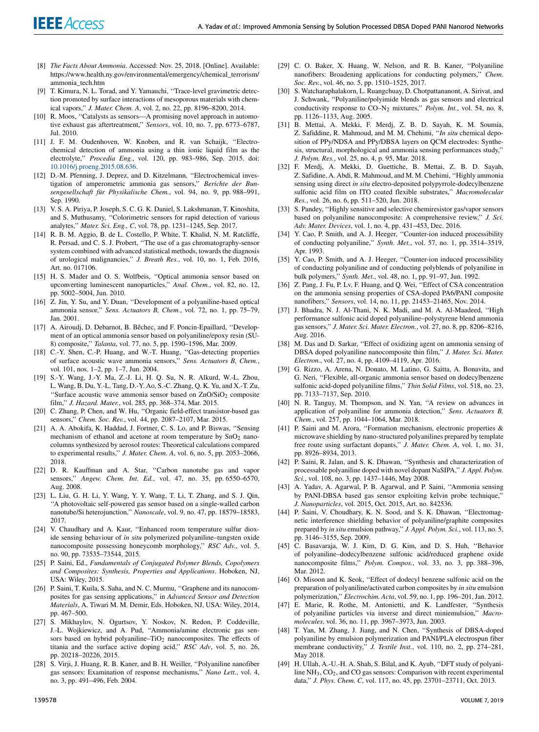- [8] *The Facts About Ammonia*. Accessed: Nov. 25, 2018. [Online]. Available: https://www.health.ny.gov/environmental/emergency/chemical\_terrorism/ ammonia\_tech.htm
- [9] T. Kimura, N. L. Torad, and Y. Yamauchi, "Trace-level gravimetric detection promoted by surface interactions of mesoporous materials with chemical vapors,'' *J. Mater. Chem. A*, vol. 2, no. 22, pp. 8196–8200, 2014.
- [10] R. Moos, "Catalysts as sensors—A promising novel approach in automotive exhaust gas aftertreatment,'' *Sensors*, vol. 10, no. 7, pp. 6773–6787, Jul. 2010.
- [11] J. F. M. Oudenhoven, W. Knoben, and R. van Schaijk, ''Electrochemical detection of ammonia using a thin ionic liquid film as the electrolyte,'' *Procedia Eng.*, vol. 120, pp. 983–986, Sep. 2015. doi: 10.1016/j.proeng.2015.08.636.
- [12] D.-M. Pfenning, J. Deprez, and D. Kitzelmann, "Electrochemical investigation of amperometric ammonia gas sensors,'' *Berichte der Bunsengesellschaft für Physikalische Chem.*, vol. 94, no. 9, pp. 988–991, Sep. 1990.
- [13] V. S. A. Piriya, P. Joseph, S. C. G. K. Daniel, S. Lakshmanan, T. Kinoshita, and S. Muthusamy, ''Colorimetric sensors for rapid detection of various analytes,'' *Mater. Sci. Eng., C*, vol. 78, pp. 1231–1245, Sep. 2017.
- [14] R. B. M. Aggio, B. de L. Costello, P. White, T. Khalid, N. M. Ratcliffe, R. Persad, and C. S. J. Probert, ''The use of a gas chromatography-sensor system combined with advanced statistical methods, towards the diagnosis of urological malignancies,'' *J. Breath Res.*, vol. 10, no. 1, Feb. 2016, Art. no. 017106.
- [15] H. S. Mader and O. S. Wolfbeis, ''Optical ammonia sensor based on upconverting luminescent nanoparticles,'' *Anal. Chem.*, vol. 82, no. 12, pp. 5002–5004, Jun. 2010.
- [16] Z. Jin, Y. Su, and Y. Duan, "Development of a polyaniline-based optical ammonia sensor,'' *Sens. Actuators B, Chem.*, vol. 72, no. 1, pp. 75–79, Jan. 2001.
- [17] A. Airoudj, D. Debarnot, B. Bêchec, and F. Poncin-Epaillard, "Development of an optical ammonia sensor based on polyaniline/epoxy resin (SU-8) composite,'' *Talanta*, vol. 77, no. 5, pp. 1590–1596, Mar. 2009.
- [18] C.-Y. Shen, C.-P. Huang, and W.-T. Huang, ''Gas-detecting properties of surface acoustic wave ammonia sensors,'' *Sens. Actuators B, Chem.*, vol. 101, nos. 1–2, pp. 1–7, Jun. 2004.
- [19] S.-Y. Wang, J.-Y. Ma, Z.-J. Li, H. Q. Su, N. R. Alkurd, W.-L. Zhou, L. Wang, B. Du, Y.-L. Tang, D.-Y. Ao, S.-C. Zhang, Q. K. Yu, and X.-T. Zu, "Surface acoustic wave ammonia sensor based on ZnO/SiO<sub>2</sub> composite film,'' *J. Hazard. Mater.*, vol. 285, pp. 368–374, Mar. 2015.
- [20] C. Zhang, P. Chen, and W. Hu, ''Organic field-effect transistor-based gas sensors,'' *Chem. Soc. Rev.*, vol. 44, pp. 2087–2107, Mar. 2015.
- [21] A. A. Abokifa, K. Haddad, J. Fortner, C. S. Lo, and P. Biswas, ''Sensing mechanism of ethanol and acetone at room temperature by  $SnO<sub>2</sub>$  nanocolumns synthesized by aerosol routes: Theoretical calculations compared to experimental results,'' *J. Mater. Chem. A*, vol. 6, no. 5, pp. 2053–2066, 2018.
- [22] D. R. Kauffman and A. Star, "Carbon nanotube gas and vapor sensors,'' *Angew. Chem. Int. Ed.*, vol. 47, no. 35, pp. 6550–6570, Aug. 2008.
- [23] L. Liu, G. H. Li, Y. Wang, Y. Y. Wang, T. Li, T. Zhang, and S. J. Qin, ''A photovoltaic self-powered gas sensor based on a single-walled carbon nanotube/Si heterojunction,'' *Nanoscale*, vol. 9, no. 47, pp. 18579–18583, 2017.
- [24] V. Chaudhary and A. Kaur, ''Enhanced room temperature sulfur dioxide sensing behaviour of *in situ* polymerized polyaniline–tungsten oxide nanocomposite possessing honeycomb morphology,'' *RSC Adv.*, vol. 5, no. 90, pp. 73535–73544, 2015.
- [25] P. Saini, Ed., *Fundamentals of Conjugated Polymer Blends, Copolymers and Composites: Synthesis, Properties and Applications*. Hoboken, NJ, USA: Wiley, 2015.
- [26] P. Saini, T. Kuila, S. Saha, and N. C. Murmu, "Graphene and its nanocomposites for gas sensing applications,'' in *Advanced Sensor and Detection Materials*, A. Tiwari M. M. Demir, Eds. Hoboken, NJ, USA: Wiley, 2014, pp. 467–500.
- [27] S. Mikhaylov, N. Ogurtsov, Y. Noskov, N. Redon, P. Coddeville, J.-L. Wojkiewicz, and A. Pud, ''Ammonia/amine electronic gas sensors based on hybrid polyaniline–TiO<sub>2</sub> nanocomposites. The effects of titania and the surface active doping acid,'' *RSC Adv*, vol. 5, no. 26, pp. 20218–20226, 2015.
- [28] S. Virji, J. Huang, R. B. Kaner, and B. H. Weiller, "Polyaniline nanofiber gas sensors: Examination of response mechanisms,'' *Nano Lett.*, vol. 4, no. 3, pp. 491–496, Feb. 2004.
- [29] C. O. Baker, X. Huang, W. Nelson, and R. B. Kaner, "Polyaniline nanofibers: Broadening applications for conducting polymers,'' *Chem. Soc. Rev.*, vol. 46, no. 5, pp. 1510–1525, 2017.
- [30] S. Watcharaphalakorn, L. Ruangchuay, D. Chotpattananont, A. Sirivat, and J. Schwank, ''Polyaniline/polyimide blends as gas sensors and electrical conductivity response to CO–N<sup>2</sup> mixtures,'' *Polym. Int.*, vol. 54, no. 8, pp. 1126–1133, Aug. 2005.
- [31] B. Mettai, A. Mekki, F. Merdj, Z. B. D. Sayah, K. M. Soumia, Z. Safiddine, R. Mahmoud, and M. M. Chehimi, ''*In situ* chemical deposition of PPy/NDSA and PPy/DBSA layers on QCM electrodes: Synthesis, structural, morphological and ammonia sensing performances study,'' *J. Polym. Res.*, vol. 25, no. 4, p. 95, Mar. 2018.
- [32] F. Merdj, A. Mekki, D. Guettiche, B. Mettai, Z. B. D. Sayah, Z. Safidine, A. Abdi, R. Mahmoud, and M. M. Chehimi, ''Highly ammonia sensing using direct *in situ* electro-deposited polypyrrole-dodecylbenzene sulfonic acid film on ITO coated flexible substrates,'' *Macromolecular Res.*, vol. 26, no. 6, pp. 511–520, Jun. 2018.
- [33] S. Pandey, ''Highly sensitive and selective chemiresistor gas/vapor sensors based on polyaniline nanocomposite: A comprehensive review,'' *J. Sci. Adv. Mater. Devices*, vol. 1, no. 4, pp. 431–453, Dec. 2016.
- [34] Y. Cao, P. Smith, and A. J. Heeger, "Counter-ion induced processibility of conducting polyaniline,'' *Synth. Met.*, vol. 57, no. 1, pp. 3514–3519, Apr. 1993.
- [35] Y. Cao, P. Smith, and A. J. Heeger, "Counter-ion induced processibility of conducting polyaniline and of conducting polyblends of polyaniline in bulk polymers,'' *Synth. Met.*, vol. 48, no. 1, pp. 91–97, Jun. 1992.
- [36] Z. Pang, J. Fu, P. Lv, F. Huang, and Q. Wei, "Effect of CSA concentration on the ammonia sensing properties of CSA-doped PA6/PANI composite nanofibers,'' *Sensors*, vol. 14, no. 11, pp. 21453–21465, Nov. 2014.
- [37] J. Bhadra, N. J. Al-Thani, N. K. Madi, and M. A. Al-Maadeed, ''High performance sulfonic acid doped polyaniline–polystyrene blend ammonia gas sensors,'' *J. Mater. Sci. Mater. Electron.*, vol. 27, no. 8, pp. 8206–8216, Aug. 2016.
- [38] M. Das and D. Sarkar, "Effect of oxidizing agent on ammonia sensing of DBSA doped polyaniline nanocomposite thin film,'' *J. Mater. Sci. Mater. Electron.*, vol. 27, no. 4, pp. 4109–4119, Apr. 2016.
- [39] G. Rizzo, A. Arena, N. Donato, M. Latino, G. Saitta, A. Bonavita, and G. Neri, ''Flexible, all-organic ammonia sensor based on dodecylbenzene sulfonic acid-doped polyaniline films,'' *Thin Solid Films*, vol. 518, no. 23, pp. 7133–7137, Sep. 2010.
- [40] N. R. Tanguy, M. Thompson, and N. Yan, ''A review on advances in application of polyaniline for ammonia detection,'' *Sens. Actuators B, Chem.*, vol. 257, pp. 1044–1064, Mar. 2018.
- [41] P. Saini and M. Arora, "Formation mechanism, electronic properties & microwave shielding by nano-structured polyanilines prepared by template free route using surfactant dopants,'' *J. Mater. Chem. A*, vol. 1, no. 31, pp. 8926–8934, 2013.
- [42] P. Saini, R. Jalan, and S. K. Dhawan, "Synthesis and characterization of processable polyaniline doped with novel dopant NaSIPA,'' *J. Appl. Polym. Sci.*, vol. 108, no. 3, pp. 1437–1446, May 2008.
- [43] A. Yadav, A. Agarwal, P. B. Agarwal, and P. Saini, ''Ammonia sensing by PANI-DBSA based gas sensor exploiting kelvin probe technique,'' *J. Nanoparticles*, vol. 2015, Oct. 2015, Art. no. 842536.
- [44] P. Saini, V. Choudhary, K. N. Sood, and S. K. Dhawan, "Electromagnetic interference shielding behavior of polyaniline/graphite composites prepared by *in situ* emulsion pathway,'' *J. Appl. Polym. Sci.*, vol. 113, no. 5, pp. 3146–3155, Sep. 2009.
- [45] C. Basavaraja, W. J. Kim, D. G. Kim, and D. S. Huh, ''Behavior of polyaniline–dodecylbenzene sulfonic acid/reduced graphene oxide nanocomposite films,'' *Polym. Compos.*, vol. 33, no. 3, pp. 388–396, Mar. 2012.
- [46] O. Misoon and K. Seok, "Effect of dodecyl benzene sulfonic acid on the preparation of polyaniline/activated carbon composites by *in situ* emulsion polymerization,'' *Electrochim. Acta*, vol. 59, no. 1, pp. 196–201, Jan. 2012.
- [47] E. Marie, R. Rothe, M. Antonietti, and K. Landfester, ''Synthesis of polyaniline particles via inverse and direct miniemulsion,'' *Macromolecules*, vol. 36, no. 11, pp. 3967–3973, Jun. 2003.
- [48] T. Yan, M. Zhang, J. Jiang, and N. Chen, ''Synthesis of DBSA-doped polyaniline by emulsion polymerization and PANI/PLA electrospun fiber membrane conductivity,'' *J. Textile Inst.*, vol. 110, no. 2, pp. 274–281, May 2018.
- [49] H. Ullah, A.-U.-H. A. Shah, S. Bilal, and K. Ayub, "DFT study of polyaniline NH<sub>3</sub>, CO<sub>2</sub>, and CO gas sensors: Comparison with recent experimental data,'' *J. Phys. Chem. C*, vol. 117, no. 45, pp. 23701–23711, Oct. 2013.